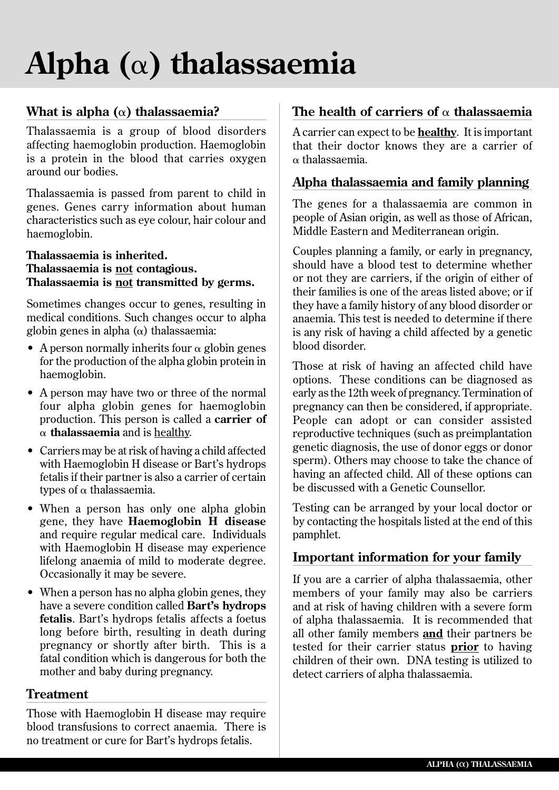# **Alpha (**a**) thalassaemia**

# **What is alpha (**a**) thalassaemia?**

Thalassaemia is a group of blood disorders affecting haemoglobin production. Haemoglobin is a protein in the blood that carries oxygen around our bodies.

Thalassaemia is passed from parent to child in genes. Genes carry information about human characteristics such as eye colour, hair colour and haemoglobin.

#### **Thalassaemia is inherited. Thalassaemia is not contagious. Thalassaemia is not transmitted by germs.**

Sometimes changes occur to genes, resulting in medical conditions. Such changes occur to alpha globin genes in alpha  $(\alpha)$  thalassaemia:

- A person normally inherits four  $\alpha$  globin genes for the production of the alpha globin protein in haemoglobin.
- A person may have two or three of the normal four alpha globin genes for haemoglobin production. This person is called a **carrier of**   $\alpha$  **thalassaemia** and is healthy.
- Carriers may be at risk of having a child affected with Haemoglobin H disease or Bart's hydrops fetalis if their partner is also a carrier of certain types of  $\alpha$  thalassaemia.
- When a person has only one alpha globin gene, they have **Haemoglobin H disease** and require regular medical care. Individuals with Haemoglobin H disease may experience lifelong anaemia of mild to moderate degree. Occasionally it may be severe.
- When a person has no alpha globin genes, they have a severe condition called **Bart's hydrops fetalis**. Bart's hydrops fetalis affects a foetus long before birth, resulting in death during pregnancy or shortly after birth. This is a fatal condition which is dangerous for both the mother and baby during pregnancy.

# **Treatment**

Those with Haemoglobin H disease may require blood transfusions to correct anaemia. There is no treatment or cure for Bart's hydrops fetalis.

# **The health of carriers of** a **thalassaemia**

A carrier can expect to be **healthy**. It is important that their doctor knows they are a carrier of a thalassaemia.

# **Alpha thalassaemia and family planning**

The genes for a thalassaemia are common in people of Asian origin, as well as those of African, Middle Eastern and Mediterranean origin.

Couples planning a family, or early in pregnancy, should have a blood test to determine whether or not they are carriers, if the origin of either of their families is one of the areas listed above; or if they have a family history of any blood disorder or anaemia. This test is needed to determine if there is any risk of having a child affected by a genetic blood disorder.

Those at risk of having an affected child have options. These conditions can be diagnosed as early as the 12th week of pregnancy. Termination of pregnancy can then be considered, if appropriate. People can adopt or can consider assisted reproductive techniques (such as preimplantation genetic diagnosis, the use of donor eggs or donor sperm). Others may choose to take the chance of having an affected child. All of these options can be discussed with a Genetic Counsellor.

Testing can be arranged by your local doctor or by contacting the hospitals listed at the end of this pamphlet.

# **Important information for your family**

If you are a carrier of alpha thalassaemia, other members of your family may also be carriers and at risk of having children with a severe form of alpha thalassaemia. It is recommended that all other family members **and** their partners be tested for their carrier status **prior** to having children of their own. DNA testing is utilized to detect carriers of alpha thalassaemia.